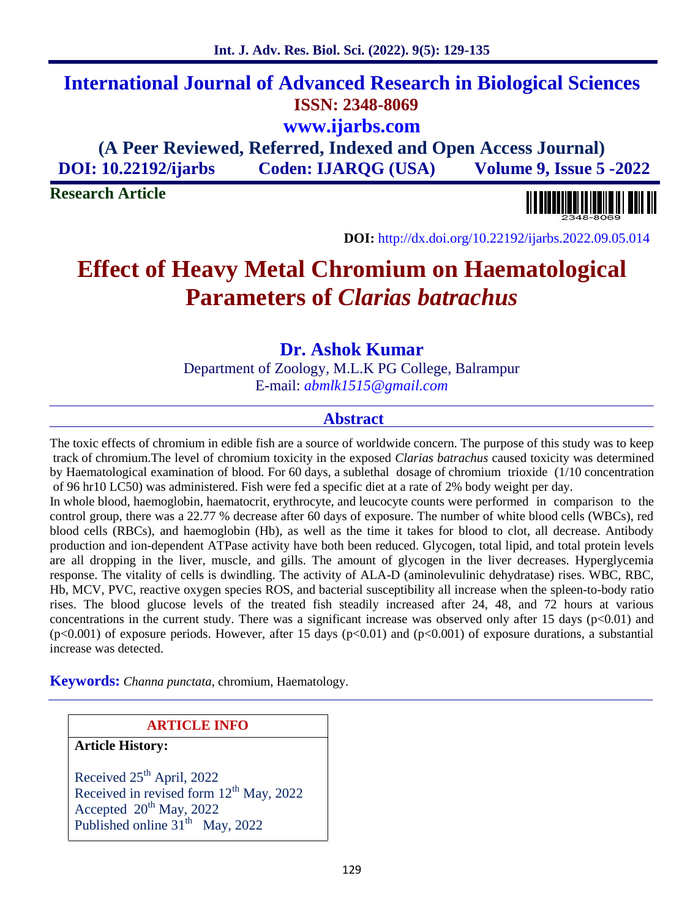# **International Journal of Advanced Research in Biological Sciences ISSN: 2348-8069 www.ijarbs.com (A Peer Reviewed, Referred, Indexed and Open Access Journal)**

**DOI: 10.22192/ijarbs Coden: IJARQG (USA) Volume 9, Issue 5 -2022**

**Research Article**

**DOI:** http://dx.doi.org/10.22192/ijarbs.2022.09.05.014

# **Effect of Heavy Metal Chromium on Haematological Parameters of** *Clarias batrachus*

**Dr. Ashok Kumar**

Department of Zoology, M.L.K PG College, Balrampur E-mail: *abmlk1515@gmail.com*

# **Abstract**

The toxic effects of chromium in edible fish are a source of worldwide concern. The purpose of this study was to keep track of chromium.The level of chromium toxicity in the exposed *Clarias batrachus* caused toxicity was determined by Haematological examination of blood. For 60 days, a sublethal dosage of chromium trioxide (1/10 concentration of 96 hr10 LC50) was administered. Fish were fed a specific diet at a rate of 2% body weight per day.

In whole blood, haemoglobin, haematocrit, erythrocyte, and leucocyte counts were performed in comparison to the control group, there was a 22.77 % decrease after 60 days of exposure. The number of white blood cells (WBCs), red blood cells (RBCs), and haemoglobin (Hb), as well as the time it takes for blood to clot, all decrease. Antibody production and ion-dependent ATPase activity have both been reduced. Glycogen, total lipid, and total protein levels are all dropping in the liver, muscle, and gills. The amount of glycogen in the liver decreases. Hyperglycemia response. The vitality of cells is dwindling. The activity of ALA-D (aminolevulinic dehydratase) rises. WBC, RBC, Hb, MCV, PVC, reactive oxygen species ROS, and bacterial susceptibility all increase when the spleen-to-body ratio rises. The blood glucose levels of the treated fish steadily increased after 24, 48, and 72 hours at various concentrations in the current study. There was a significant increase was observed only after 15 days ( $p<0.01$ ) and  $(p<0.001)$  of exposure periods. However, after 15 days  $(p<0.01)$  and  $(p<0.001)$  of exposure durations, a substantial increase was detected.

**Keywords:** *Channa punctata*, chromium, Haematology.

#### **ARTICLE INFO**

**Article History:**

Received  $25<sup>th</sup>$  April, 2022 Received in revised form  $12^{th}$  May,  $2022$ Accepted  $20^{th}$  May, 2022 Published online  $31<sup>th</sup>$  May, 2022

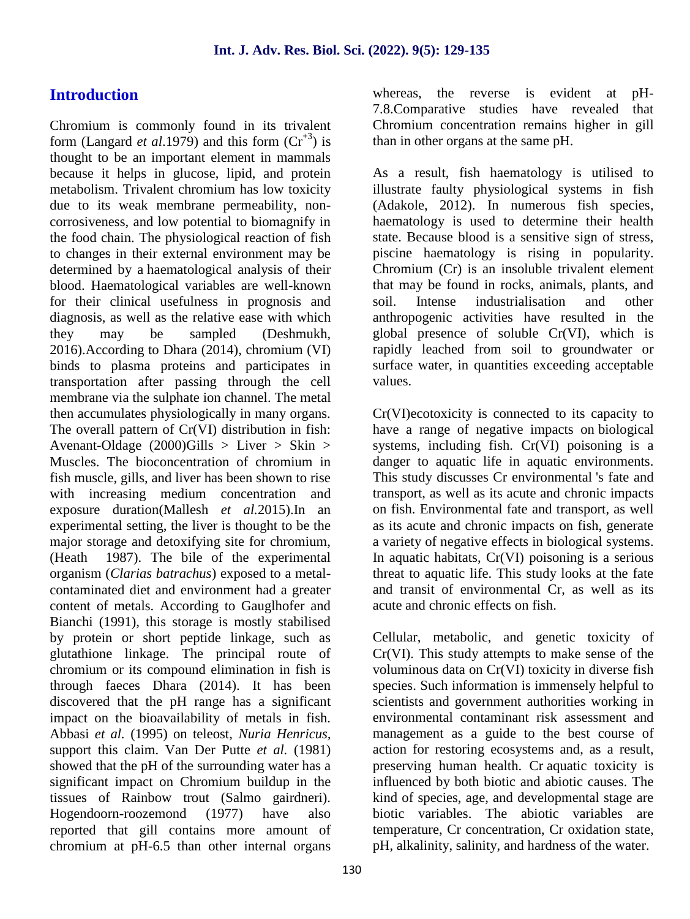# **Introduction**

Chromium is commonly found in its trivalent form (Langard *et al.*1979) and this form  $(Cr^{+3})$  is thought to be an important element in mammals because it helps in glucose, lipid, and protein metabolism. Trivalent chromium has low toxicity due to its weak membrane permeability, non corrosiveness, and low potential to biomagnify in the food chain. The physiological reaction of fish to changes in their external environment may be determined by a haematological analysis of their blood. Haematological variables are well-known for their clinical usefulness in prognosis and diagnosis, as well as the relative ease with which they may be sampled (Deshmukh, 2016).According to Dhara (2014), chromium (VI) binds to plasma proteins and participates in transportation after passing through the cell membrane via the sulphate ion channel. The metal then accumulates physiologically in many organs. The overall pattern of Cr(VI) distribution in fish: Avenant-Oldage (2000)Gills > Liver > Skin > Muscles. The bioconcentration of chromium in fish muscle, gills, and liver has been shown to rise with increasing medium concentration and exposure duration(Mallesh *et al.*2015).In an experimental setting, the liver is thought to be the major storage and detoxifying site for chromium, (Heath 1987). The bile of the experimental organism (*Clarias batrachus*) exposed to a metal contaminated diet and environment had a greater content of metals. According to Gauglhofer and Bianchi (1991), this storage is mostly stabilised by protein or short peptide linkage, such as glutathione linkage. The principal route of chromium or its compound elimination in fish is through faeces Dhara (2014). It has been discovered that the pH range has a significant impact on the bioavailability of metals in fish. Abbasi *et al.* (1995) on teleost, *Nuria Henricus,* support this claim. Van Der Putte *et al.* (1981) showed that the pH of the surrounding water has a significant impact on Chromium buildup in the tissues of Rainbow trout (Salmo gairdneri). Hogendoorn-roozemond (1977) have also reported that gill contains more amount of chromium at pH-6.5 than other internal organs

whereas, the reverse is evident at pH- 7.8.Comparative studies have revealed that Chromium concentration remains higher in gill than in other organs at the same pH.

As a result, fish haematology is utilised to illustrate faulty physiological systems in fish (Adakole, 2012). In numerous fish species, haematology is used to determine their health state. Because blood is a sensitive sign of stress, piscine haematology is rising in popularity. Chromium (Cr) is an insoluble trivalent element that may be found in rocks, animals, plants, and Intense industrialisation and other anthropogenic activities have resulted in the global presence of soluble Cr(VI), which is rapidly leached from soil to groundwater or surface water, in quantities exceeding acceptable values.

Cr(VI)ecotoxicity is connected to its capacity to have a range of negative impacts on biological systems, including fish. Cr(VI) poisoning is a danger to aquatic life in aquatic environments. This study discusses Cr environmental 's fate and transport, as well as its acute and chronic impacts on fish. Environmental fate and transport, as well as its acute and chronic impacts on fish, generate a variety of negative effects in biological systems. In aquatic habitats, Cr(VI) poisoning is a serious threat to aquatic life. This study looks at the fate and transit of environmental Cr, as well as its acute and chronic effects on fish.

Cellular, metabolic, and genetic toxicity of Cr(VI). This study attempts to make sense of the voluminous data on Cr(VI) toxicity in diverse fish species. Such information is immensely helpful to scientists and government authorities working in environmental contaminant risk assessment and management as a guide to the best course of action for restoring ecosystems and, as a result, preserving human health. Cr aquatic toxicity is influenced by both biotic and abiotic causes. The kind of species, age, and developmental stage are biotic variables. The abiotic variables are temperature, Cr concentration, Cr oxidation state, pH, alkalinity, salinity, and hardness of the water.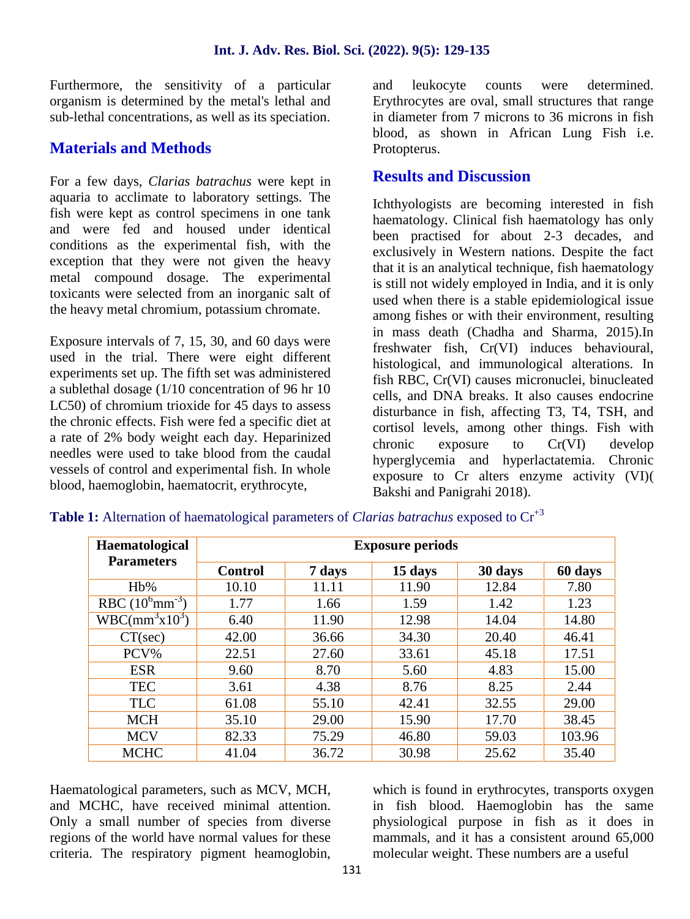Furthermore, the sensitivity of a particular organism is determined by the metal's lethal and sub-lethal concentrations, as well as its speciation.

# **Materials and Methods**

For a few days, *Clarias batrachus* were kept in aquaria to acclimate to laboratory settings. The fish were kept as control specimens in one tank and were fed and housed under identical conditions as the experimental fish, with the exception that they were not given the heavy metal compound dosage. The experimental toxicants were selected from an inorganic salt of the heavy metal chromium, potassium chromate.

Exposure intervals of 7, 15, 30, and 60 days were used in the trial. There were eight different experiments set up. The fifth set was administered a sublethal dosage (1/10 concentration of 96 hr 10 LC50) of chromium trioxide for 45 days to assess the chronic effects. Fish were fed a specific diet at a rate of 2% body weight each day. Heparinized needles were used to take blood from the caudal vessels of control and experimental fish. In whole blood, haemoglobin, haematocrit, erythrocyte,

and leukocyte counts were determined. Erythrocytes are oval, small structures that range in diameter from 7 microns to 36 microns in fish blood, as shown in African Lung Fish i.e. Protopterus.

### **Results and Discussion**

Ichthyologists are becoming interested in fish haematology. Clinical fish haematology has only been practised for about 2-3 decades, and exclusively in Western nations. Despite the fact that it is an analytical technique, fish haematology is still not widely employed in India, and it is only used when there is a stable epidemiological issue among fishes or with their environment, resulting in mass death (Chadha and Sharma, 2015).In freshwater fish, Cr(VI) induces behavioural, histological, and immunological alterations. In fish RBC, Cr(VI) causes micronuclei, binucleated cells, and DNA breaks. It also causes endocrine disturbance in fish, affecting T3, T4, TSH, and cortisol levels, among other things. Fish with  $exposure$  to  $Cr(VI)$  develop hyperglycemia and hyperlactatemia. Chronic exposure to Cr alters enzyme activity (VI)( Bakshi and Panigrahi 2018).

| Haematological<br><b>Parameters</b>    | <b>Exposure periods</b> |        |         |         |         |
|----------------------------------------|-------------------------|--------|---------|---------|---------|
|                                        | <b>Control</b>          | 7 days | 15 days | 30 days | 60 days |
| $Hb\%$                                 | 10.10                   | 11.11  | 11.90   | 12.84   | 7.80    |
| RBC $(10^6 \text{mm}^{-3})$            | 1.77                    | 1.66   | 1.59    | 1.42    | 1.23    |
| WBC(mm <sup>3</sup> x10 <sup>3</sup> ) | 6.40                    | 11.90  | 12.98   | 14.04   | 14.80   |
| $CT(\sec)$                             | 42.00                   | 36.66  | 34.30   | 20.40   | 46.41   |
| PCV%                                   | 22.51                   | 27.60  | 33.61   | 45.18   | 17.51   |
| <b>ESR</b>                             | 9.60                    | 8.70   | 5.60    | 4.83    | 15.00   |
| <b>TEC</b>                             | 3.61                    | 4.38   | 8.76    | 8.25    | 2.44    |
| <b>TLC</b>                             | 61.08                   | 55.10  | 42.41   | 32.55   | 29.00   |
| <b>MCH</b>                             | 35.10                   | 29.00  | 15.90   | 17.70   | 38.45   |
| <b>MCV</b>                             | 82.33                   | 75.29  | 46.80   | 59.03   | 103.96  |
| <b>MCHC</b>                            | 41.04                   | 36.72  | 30.98   | 25.62   | 35.40   |

**Table 1:** Alternation of haematological parameters of *Clarias batrachus* exposed to  $Cr^{+3}$ 

Haematological parameters, such as MCV, MCH, and MCHC, have received minimal attention. Only a small number of species from diverse regions of the world have normal values for these criteria. The respiratory pigment heamoglobin,

which is found in erythrocytes, transports oxygen in fish blood. Haemoglobin has the same physiological purpose in fish as it does in mammals, and it has a consistent around 65,000 molecular weight. These numbers are a useful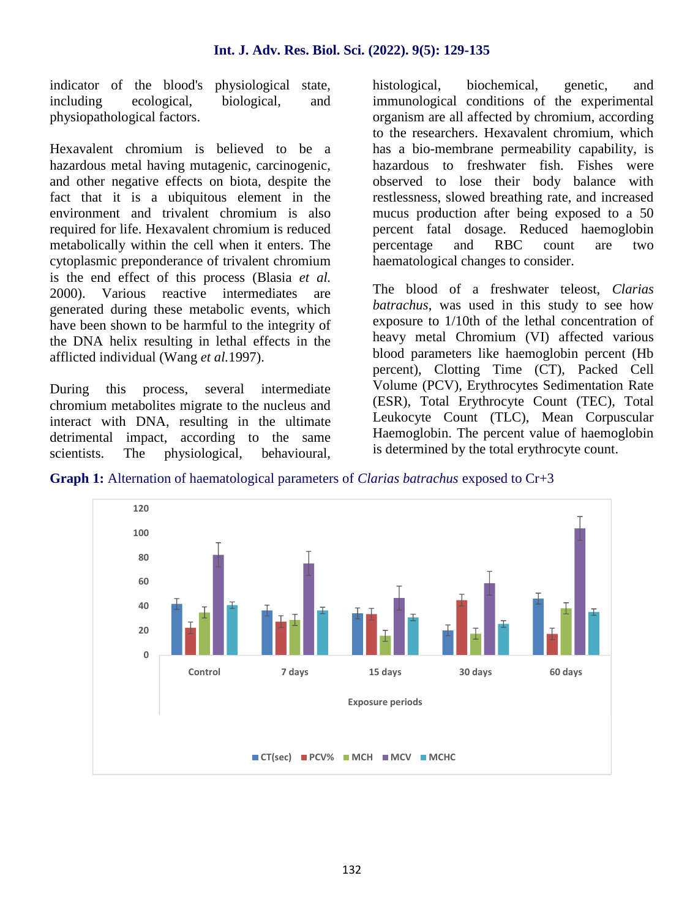indicator of the blood's physiological state, including ecological, biological, and physiopathological factors.

Hexavalent chromium is believed to be a hazardous metal having mutagenic, carcinogenic, and other negative effects on biota, despite the fact that it is a ubiquitous element in the environment and trivalent chromium is also required for life. Hexavalent chromium is reduced metabolically within the cell when it enters. The cytoplasmic preponderance of trivalent chromium is the end effect of this process (Blasia *et al.* 2000). Various reactive intermediates are generated during these metabolic events, which have been shown to be harmful to the integrity of the DNA helix resulting in lethal effects in the afflicted individual (Wang *et al.*1997).

During this process, several intermediate chromium metabolites migrate to the nucleus and interact with DNA, resulting in the ultimate detrimental impact, according to the same scientists. The physiological, behavioural, histological, biochemical, genetic, and immunological conditions of the experimental organism are all affected by chromium, according to the researchers. Hexavalent chromium, which has a bio-membrane permeability capability, is hazardous to freshwater fish. Fishes were observed to lose their body balance with restlessness, slowed breathing rate, and increased mucus production after being exposed to a 50 percent fatal dosage. Reduced haemoglobin percentage and RBC count are two haematological changes to consider.

The blood of a freshwater teleost, *Clarias batrachus*, was used in this study to see how exposure to 1/10th of the lethal concentration of heavy metal Chromium (VI) affected various blood parameters like haemoglobin percent (Hb percent), Clotting Time (CT), Packed Cell Volume (PCV), Erythrocytes Sedimentation Rate (ESR), Total Erythrocyte Count (TEC), Total Leukocyte Count (TLC), Mean Corpuscular Haemoglobin. The percent value of haemoglobin is determined by the total erythrocyte count.

**Graph 1:** Alternation of haematological parameters of *Clarias batrachus* exposed to Cr+3

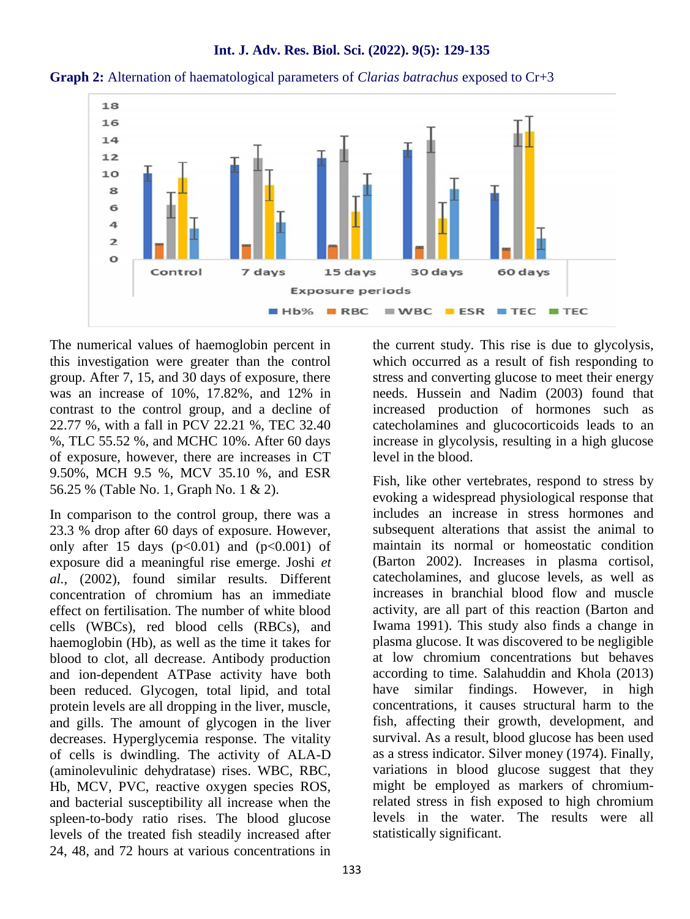

**Int. J. Adv. Res. Biol. Sci. (2022). 9(5): 129-135**

**Graph 2:** Alternation of haematological parameters of *Clarias batrachus* exposed to Cr+3

The numerical values of haemoglobin percent in this investigation were greater than the control group. After 7, 15, and 30 days of exposure, there was an increase of 10%, 17.82%, and 12% in contrast to the control group, and a decline of 22.77 %, with a fall in PCV 22.21 %, TEC 32.40 %, TLC 55.52 %, and MCHC 10%. After 60 days of exposure, however, there are increases in CT 9.50%, MCH 9.5 %, MCV 35.10 %, and ESR 56.25 % (Table No. 1, Graph No. 1 & 2).

In comparison to the control group, there was a 23.3 % drop after 60 days of exposure. However, only after 15 days  $(p<0.01)$  and  $(p<0.001)$  of exposure did a meaningful rise emerge. Joshi *et al.,* (2002), found similar results. Different concentration of chromium has an immediate effect on fertilisation. The number of white blood cells (WBCs), red blood cells (RBCs), and haemoglobin (Hb), as well as the time it takes for blood to clot, all decrease. Antibody production and ion-dependent ATPase activity have both been reduced. Glycogen, total lipid, and total protein levels are all dropping in the liver, muscle, and gills. The amount of glycogen in the liver decreases. Hyperglycemia response. The vitality of cells is dwindling. The activity of ALA-D (aminolevulinic dehydratase) rises. WBC, RBC, Hb, MCV, PVC, reactive oxygen species ROS, and bacterial susceptibility all increase when the spleen-to-body ratio rises. The blood glucose levels of the treated fish steadily increased after 24, 48, and 72 hours at various concentrations in the current study. This rise is due to glycolysis, which occurred as a result of fish responding to stress and converting glucose to meet their energy needs. Hussein and Nadim (2003) found that increased production of hormones such as catecholamines and glucocorticoids leads to an increase in glycolysis, resulting in a high glucose level in the blood.

Fish, like other vertebrates, respond to stress by evoking a widespread physiological response that includes an increase in stress hormones and subsequent alterations that assist the animal to maintain its normal or homeostatic condition (Barton 2002). Increases in plasma cortisol, catecholamines, and glucose levels, as well as increases in branchial blood flow and muscle activity, are all part of this reaction (Barton and Iwama 1991). This study also finds a change in plasma glucose. It was discovered to be negligible at low chromium concentrations but behaves according to time. Salahuddin and Khola (2013) have similar findings. However, in high concentrations, it causes structural harm to the fish, affecting their growth, development, and survival. As a result, blood glucose has been used as a stress indicator. Silver money (1974). Finally, variations in blood glucose suggest that they might be employed as markers of chromiumrelated stress in fish exposed to high chromium levels in the water. The results were all statistically significant.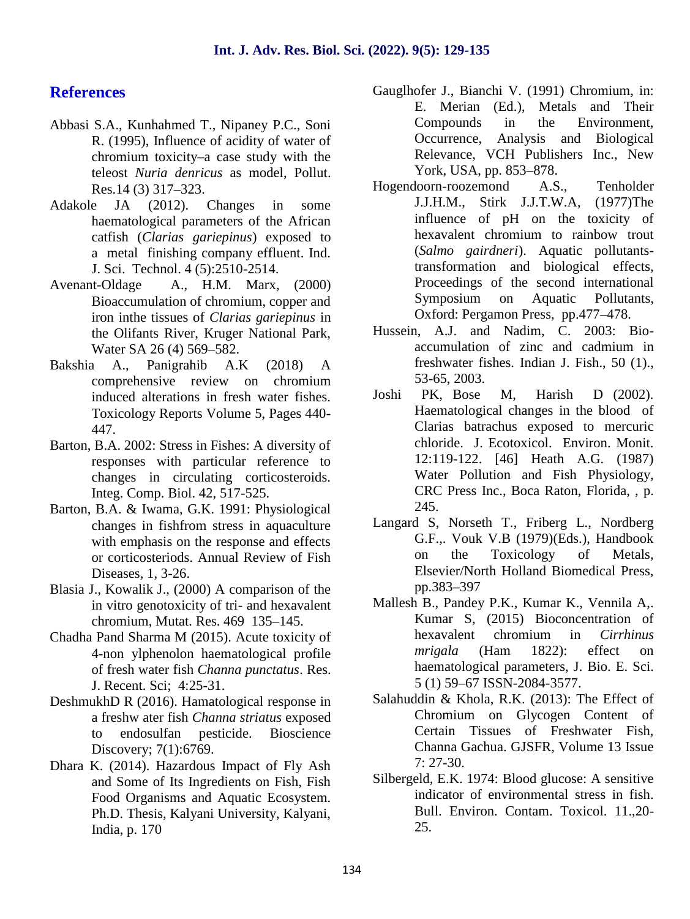## **References**

- Abbasi S.A., Kunhahmed T., Nipaney P.C., Soni R. (1995), Influence of acidity of water of chromium toxicity–a case study with the teleost *Nuria denricus* as model, Pollut. Res.14 (3) 317–323.
- Adakole JA (2012). Changes in some haematological parameters of the African catfish (*Clarias gariepinus*) exposed to a metal finishing company effluent. Ind. J. Sci. Technol. 4 (5):2510-2514.
- Avenant-Oldage A., H.M. Marx, (2000) Bioaccumulation of chromium, copper and iron inthe tissues of *Clarias gariepinus* in the Olifants River, Kruger National Park, Water SA 26 (4) 569–582.
- Bakshia A., Panigrahib A.K (2018) A comprehensive review on chromium<br>induced alterations in fresh water fishes Joshi induced alterations in fresh water fishes. Toxicology Reports Volume 5, Pages 440- 447.
- Barton, B.A. 2002: Stress in Fishes: A diversity of responses with particular reference to changes in circulating corticosteroids. Integ. Comp. Biol. 42, 517-525.
- Barton, B.A. & Iwama, G.K. 1991: Physiological changes in fishfrom stress in aquaculture with emphasis on the response and effects or corticosteriods. Annual Review of Fish Diseases, 1, 3-26.
- Blasia J., Kowalik J., (2000) A comparison of the in vitro genotoxicity of tri- and hexavalent chromium, Mutat. Res. 469 135–145.
- Chadha Pand Sharma M (2015). Acute toxicity of 4-non ylphenolon haematological profile of fresh water fish *Channa punctatus*. Res. J. Recent. Sci; 4:25-31.
- DeshmukhD R (2016). Hamatological response in a freshw ater fish *Channa striatus* exposed to endosulfan pesticide. Bioscience Discovery; 7(1):6769.
- Dhara K. (2014). Hazardous Impact of Fly Ash and Some of Its Ingredients on Fish, Fish Food Organisms and Aquatic Ecosystem. Ph.D. Thesis, Kalyani University, Kalyani, India, p. 170
- Gauglhofer J., Bianchi V. (1991) Chromium, in: E. Merian (Ed.), Metals and Their Compounds in the Environment, Occurrence, Analysis and Biological Relevance, VCH Publishers Inc., New York, USA, pp. 853–878.
- Hogendoorn-roozemond A.S., Tenholder J.J.H.M., Stirk J.J.T.W.A, (1977)The influence of pH on the toxicity of hexavalent chromium to rainbow trout (*Salmo gairdneri*). Aquatic pollutantstransformation and biological effects, Proceedings of the second international Symposium on Aquatic Pollutants, Oxford: Pergamon Press, pp.477–478.
- Hussein, A.J. and Nadim, C. 2003: Bio accumulation of zinc and cadmium in freshwater fishes. Indian J. Fish., 50 (1)., 53-65, 2003.
- PK, Bose M, Harish D (2002). Haematological changes in the blood of Clarias batrachus exposed to mercuric chloride. J. Ecotoxicol. Environ. Monit. 12:119-122. [46] Heath A.G. (1987) Water Pollution and Fish Physiology, CRC Press Inc., Boca Raton, Florida, , p. 245.
- Langard S, Norseth T., Friberg L., Nordberg G.F.,. Vouk V.B (1979)(Eds.), Handbook on the Toxicology of Metals, Elsevier/North Holland Biomedical Press, pp.383–397
- Mallesh B., Pandey P.K., Kumar K., Vennila A,. Kumar S, (2015) Bioconcentration of hexavalent chromium in *Cirrhinus mrigala* (Ham 1822): effect on haematological parameters, J. Bio. E. Sci. 5 (1) 59–67 ISSN-2084-3577.
- Salahuddin & Khola, R.K. (2013): The Effect of Chromium on Glycogen Content of Certain Tissues of Freshwater Fish, Channa Gachua. GJSFR, Volume 13 Issue 7: 27-30.
- Silbergeld, E.K. 1974: Blood glucose: A sensitive indicator of environmental stress in fish. Bull. Environ. Contam. Toxicol. 11.,20- 25.